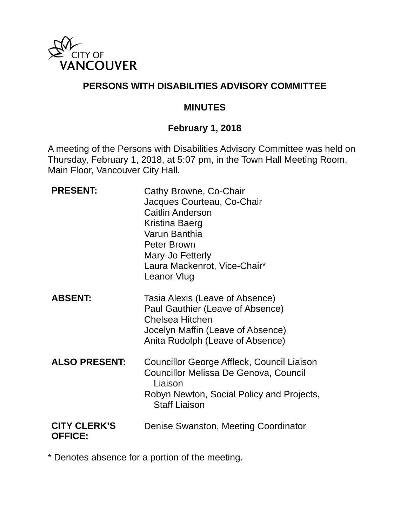

# **PERSONS WITH DISABILITIES ADVISORY COMMITTEE**

#### **MINUTES**

### **February 1, 2018**

A meeting of the Persons with Disabilities Advisory Committee was held on Thursday, February 1, 2018, at 5:07 pm, in the Town Hall Meeting Room, Main Floor, Vancouver City Hall.

| <b>PRESENT:</b>                       | Cathy Browne, Co-Chair<br>Jacques Courteau, Co-Chair<br><b>Caitlin Anderson</b><br>Kristina Baerg<br>Varun Banthia<br>Peter Brown<br>Mary-Jo Fetterly<br>Laura Mackenrot, Vice-Chair*<br>Leanor Vlug |
|---------------------------------------|------------------------------------------------------------------------------------------------------------------------------------------------------------------------------------------------------|
| <b>ABSENT:</b>                        | Tasia Alexis (Leave of Absence)<br>Paul Gauthier (Leave of Absence)<br>Chelsea Hitchen<br>Jocelyn Maffin (Leave of Absence)<br>Anita Rudolph (Leave of Absence)                                      |
| <b>ALSO PRESENT:</b>                  | Councillor George Affleck, Council Liaison<br>Councillor Melissa De Genova, Council<br>Liaison<br>Robyn Newton, Social Policy and Projects,<br><b>Staff Liaison</b>                                  |
| <b>CITY CLERK'S</b><br><b>OFFICE:</b> | Denise Swanston, Meeting Coordinator                                                                                                                                                                 |

\* Denotes absence for a portion of the meeting.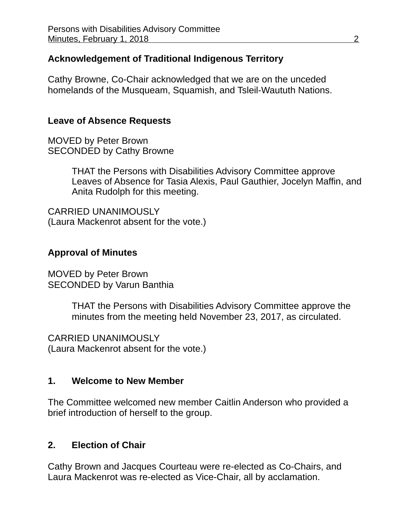## **Acknowledgement of Traditional Indigenous Territory**

Cathy Browne, Co-Chair acknowledged that we are on the unceded homelands of the Musqueam, Squamish, and Tsleil-Waututh Nations.

#### **Leave of Absence Requests**

MOVED by Peter Brown SECONDED by Cathy Browne

> THAT the Persons with Disabilities Advisory Committee approve Leaves of Absence for Tasia Alexis, Paul Gauthier, Jocelyn Maffin, and Anita Rudolph for this meeting.

CARRIED UNANIMOUSLY (Laura Mackenrot absent for the vote.)

#### **Approval of Minutes**

MOVED by Peter Brown SECONDED by Varun Banthia

> THAT the Persons with Disabilities Advisory Committee approve the minutes from the meeting held November 23, 2017, as circulated.

CARRIED UNANIMOUSLY (Laura Mackenrot absent for the vote.)

#### **1. Welcome to New Member**

The Committee welcomed new member Caitlin Anderson who provided a brief introduction of herself to the group.

#### **2. Election of Chair**

Cathy Brown and Jacques Courteau were re-elected as Co-Chairs, and Laura Mackenrot was re-elected as Vice-Chair, all by acclamation.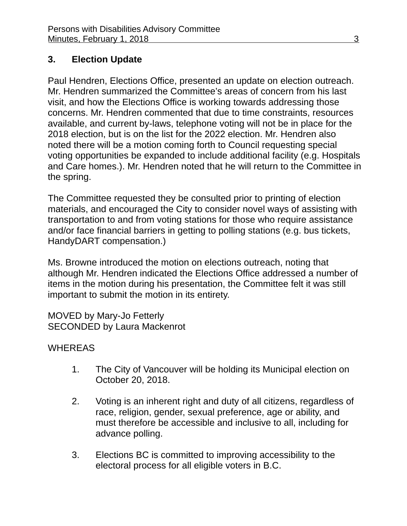# **3. Election Update**

Paul Hendren, Elections Office, presented an update on election outreach. Mr. Hendren summarized the Committee's areas of concern from his last visit, and how the Elections Office is working towards addressing those concerns. Mr. Hendren commented that due to time constraints, resources available, and current by-laws, telephone voting will not be in place for the 2018 election, but is on the list for the 2022 election. Mr. Hendren also noted there will be a motion coming forth to Council requesting special voting opportunities be expanded to include additional facility (e.g. Hospitals and Care homes.). Mr. Hendren noted that he will return to the Committee in the spring.

The Committee requested they be consulted prior to printing of election materials, and encouraged the City to consider novel ways of assisting with transportation to and from voting stations for those who require assistance and/or face financial barriers in getting to polling stations (e.g. bus tickets, HandyDART compensation.)

Ms. Browne introduced the motion on elections outreach, noting that although Mr. Hendren indicated the Elections Office addressed a number of items in the motion during his presentation, the Committee felt it was still important to submit the motion in its entirety.

MOVED by Mary-Jo Fetterly SECONDED by Laura Mackenrot

# WHEREAS

- 1. The City of Vancouver will be holding its Municipal election on October 20, 2018.
- 2. Voting is an inherent right and duty of all citizens, regardless of race, religion, gender, sexual preference, age or ability, and must therefore be accessible and inclusive to all, including for advance polling.
- 3. Elections BC is committed to improving accessibility to the electoral process for all eligible voters in B.C.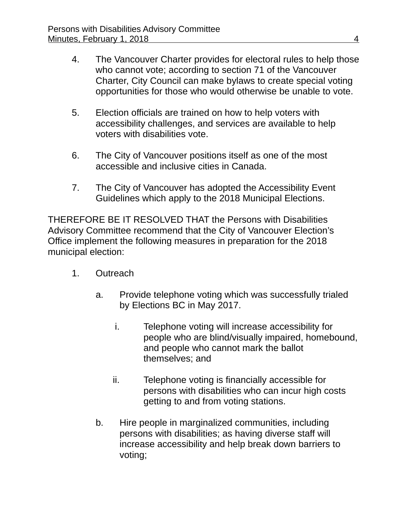- 4. The Vancouver Charter provides for electoral rules to help those who cannot vote; according to section 71 of the Vancouver Charter, City Council can make bylaws to create special voting opportunities for those who would otherwise be unable to vote.
- 5. Election officials are trained on how to help voters with accessibility challenges, and services are available to help voters with disabilities vote.
- 6. The City of Vancouver positions itself as one of the most accessible and inclusive cities in Canada.
- 7. The City of Vancouver has adopted the Accessibility Event Guidelines which apply to the 2018 Municipal Elections.

THEREFORE BE IT RESOLVED THAT the Persons with Disabilities Advisory Committee recommend that the City of Vancouver Election's Office implement the following measures in preparation for the 2018 municipal election:

- 1. Outreach
	- a. Provide telephone voting which was successfully trialed by Elections BC in May 2017.
		- i. Telephone voting will increase accessibility for people who are blind/visually impaired, homebound, and people who cannot mark the ballot themselves; and
		- ii. Telephone voting is financially accessible for persons with disabilities who can incur high costs getting to and from voting stations.
	- b. Hire people in marginalized communities, including persons with disabilities; as having diverse staff will increase accessibility and help break down barriers to voting;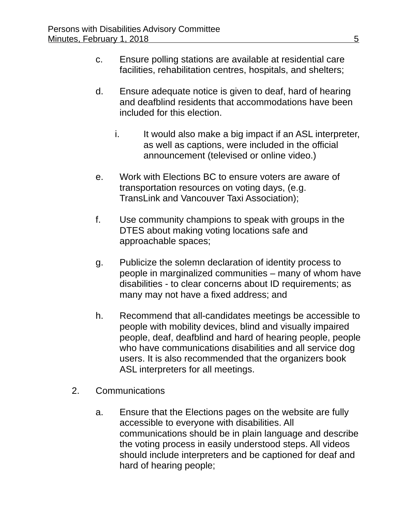- c. Ensure polling stations are available at residential care facilities, rehabilitation centres, hospitals, and shelters;
- d. Ensure adequate notice is given to deaf, hard of hearing and deafblind residents that accommodations have been included for this election.
	- i. It would also make a big impact if an ASL interpreter, as well as captions, were included in the official announcement (televised or online video.)
- e. Work with Elections BC to ensure voters are aware of transportation resources on voting days, (e.g. TransLink and Vancouver Taxi Association);
- f. Use community champions to speak with groups in the DTES about making voting locations safe and approachable spaces;
- g. Publicize the solemn declaration of identity process to people in marginalized communities – many of whom have disabilities - to clear concerns about ID requirements; as many may not have a fixed address; and
- h. Recommend that all-candidates meetings be accessible to people with mobility devices, blind and visually impaired people, deaf, deafblind and hard of hearing people, people who have communications disabilities and all service dog users. It is also recommended that the organizers book ASL interpreters for all meetings.
- 2. Communications
	- a. Ensure that the Elections pages on the website are fully accessible to everyone with disabilities. All communications should be in plain language and describe the voting process in easily understood steps. All videos should include interpreters and be captioned for deaf and hard of hearing people;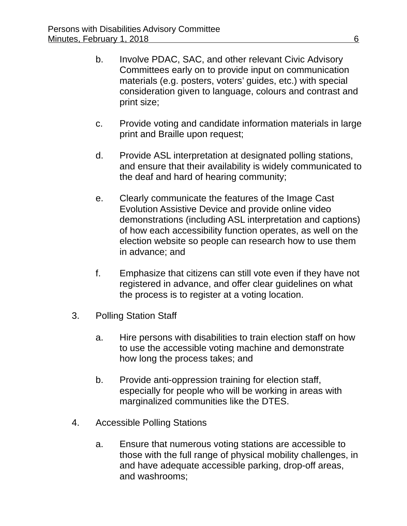- b. Involve PDAC, SAC, and other relevant Civic Advisory Committees early on to provide input on communication materials (e.g. posters, voters' guides, etc.) with special consideration given to language, colours and contrast and print size;
- c. Provide voting and candidate information materials in large print and Braille upon request;
- d. Provide ASL interpretation at designated polling stations, and ensure that their availability is widely communicated to the deaf and hard of hearing community;
- e. Clearly communicate the features of the Image Cast Evolution Assistive Device and provide online video demonstrations (including ASL interpretation and captions) of how each accessibility function operates, as well on the election website so people can research how to use them in advance; and
- f. Emphasize that citizens can still vote even if they have not registered in advance, and offer clear guidelines on what the process is to register at a voting location.
- 3. Polling Station Staff
	- a. Hire persons with disabilities to train election staff on how to use the accessible voting machine and demonstrate how long the process takes; and
	- b. Provide anti-oppression training for election staff, especially for people who will be working in areas with marginalized communities like the DTES.
- 4. Accessible Polling Stations
	- a. Ensure that numerous voting stations are accessible to those with the full range of physical mobility challenges, in and have adequate accessible parking, drop-off areas, and washrooms;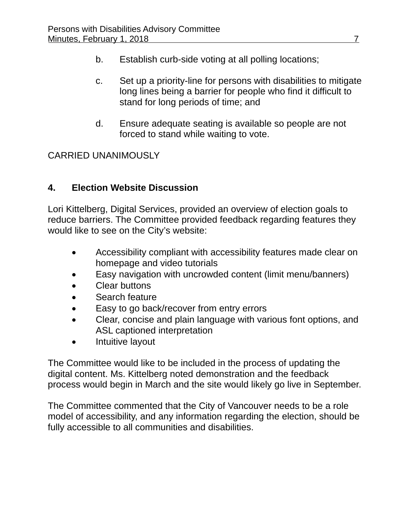- b. Establish curb-side voting at all polling locations;
- c. Set up a priority-line for persons with disabilities to mitigate long lines being a barrier for people who find it difficult to stand for long periods of time; and
- d. Ensure adequate seating is available so people are not forced to stand while waiting to vote.

# CARRIED UNANIMOUSLY

# **4. Election Website Discussion**

Lori Kittelberg, Digital Services, provided an overview of election goals to reduce barriers. The Committee provided feedback regarding features they would like to see on the City's website:

- Accessibility compliant with accessibility features made clear on homepage and video tutorials
- Easy navigation with uncrowded content (limit menu/banners)
- Clear buttons
- Search feature
- Easy to go back/recover from entry errors
- Clear, concise and plain language with various font options, and ASL captioned interpretation
- Intuitive layout

The Committee would like to be included in the process of updating the digital content. Ms. Kittelberg noted demonstration and the feedback process would begin in March and the site would likely go live in September.

The Committee commented that the City of Vancouver needs to be a role model of accessibility, and any information regarding the election, should be fully accessible to all communities and disabilities.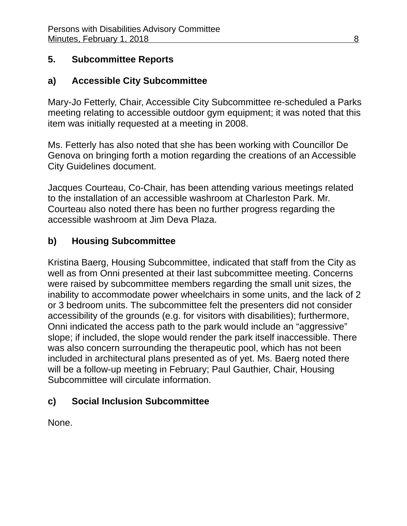# **5. Subcommittee Reports**

# **a) Accessible City Subcommittee**

Mary-Jo Fetterly, Chair, Accessible City Subcommittee re-scheduled a Parks meeting relating to accessible outdoor gym equipment; it was noted that this item was initially requested at a meeting in 2008.

Ms. Fetterly has also noted that she has been working with Councillor De Genova on bringing forth a motion regarding the creations of an Accessible City Guidelines document.

Jacques Courteau, Co-Chair, has been attending various meetings related to the installation of an accessible washroom at Charleston Park. Mr. Courteau also noted there has been no further progress regarding the accessible washroom at Jim Deva Plaza.

# **b) Housing Subcommittee**

Kristina Baerg, Housing Subcommittee, indicated that staff from the City as well as from Onni presented at their last subcommittee meeting. Concerns were raised by subcommittee members regarding the small unit sizes, the inability to accommodate power wheelchairs in some units, and the lack of 2 or 3 bedroom units. The subcommittee felt the presenters did not consider accessibility of the grounds (e.g. for visitors with disabilities); furthermore, Onni indicated the access path to the park would include an "aggressive" slope; if included, the slope would render the park itself inaccessible. There was also concern surrounding the therapeutic pool, which has not been included in architectural plans presented as of yet. Ms. Baerg noted there will be a follow-up meeting in February; Paul Gauthier, Chair, Housing Subcommittee will circulate information.

# **c) Social Inclusion Subcommittee**

None.